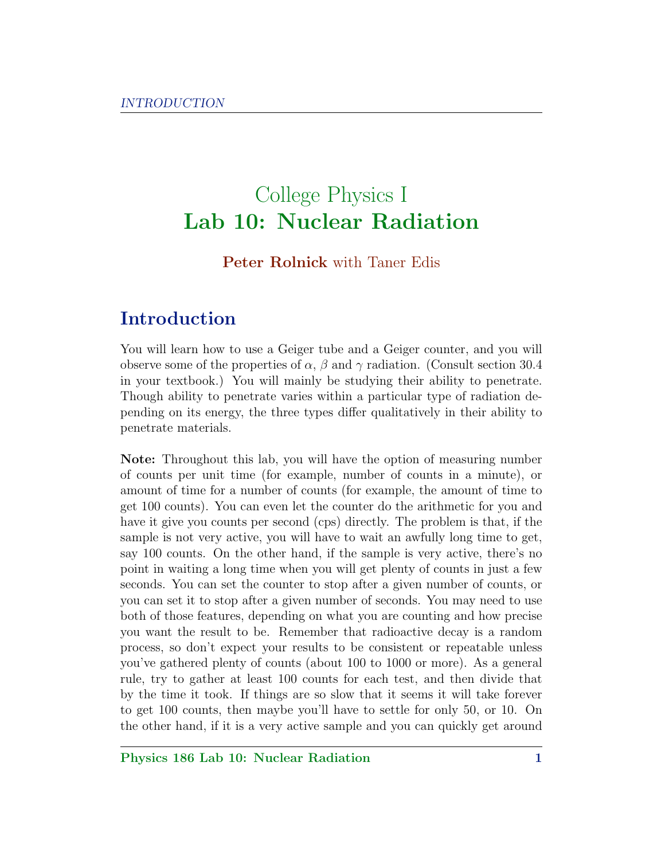# College Physics I Lab 10: Nuclear Radiation

### Peter Rolnick with Taner Edis

# Introduction

You will learn how to use a Geiger tube and a Geiger counter, and you will observe some of the properties of  $\alpha$ ,  $\beta$  and  $\gamma$  radiation. (Consult section 30.4) in your textbook.) You will mainly be studying their ability to penetrate. Though ability to penetrate varies within a particular type of radiation depending on its energy, the three types differ qualitatively in their ability to penetrate materials.

Note: Throughout this lab, you will have the option of measuring number of counts per unit time (for example, number of counts in a minute), or amount of time for a number of counts (for example, the amount of time to get 100 counts). You can even let the counter do the arithmetic for you and have it give you counts per second (cps) directly. The problem is that, if the sample is not very active, you will have to wait an awfully long time to get, say 100 counts. On the other hand, if the sample is very active, there's no point in waiting a long time when you will get plenty of counts in just a few seconds. You can set the counter to stop after a given number of counts, or you can set it to stop after a given number of seconds. You may need to use both of those features, depending on what you are counting and how precise you want the result to be. Remember that radioactive decay is a random process, so don't expect your results to be consistent or repeatable unless you've gathered plenty of counts (about 100 to 1000 or more). As a general rule, try to gather at least 100 counts for each test, and then divide that by the time it took. If things are so slow that it seems it will take forever to get 100 counts, then maybe you'll have to settle for only 50, or 10. On the other hand, if it is a very active sample and you can quickly get around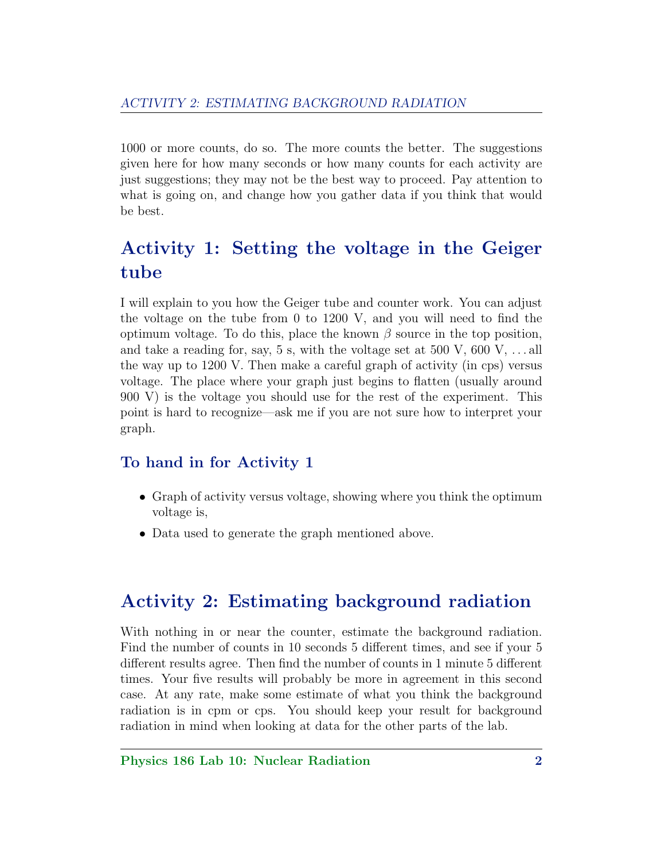1000 or more counts, do so. The more counts the better. The suggestions given here for how many seconds or how many counts for each activity are just suggestions; they may not be the best way to proceed. Pay attention to what is going on, and change how you gather data if you think that would be best.

# Activity 1: Setting the voltage in the Geiger tube

I will explain to you how the Geiger tube and counter work. You can adjust the voltage on the tube from 0 to 1200 V, and you will need to find the optimum voltage. To do this, place the known  $\beta$  source in the top position, and take a reading for, say, 5 s, with the voltage set at 500 V, 600 V,  $\dots$  all the way up to 1200 V. Then make a careful graph of activity (in cps) versus voltage. The place where your graph just begins to flatten (usually around 900 V) is the voltage you should use for the rest of the experiment. This point is hard to recognize—ask me if you are not sure how to interpret your graph.

### To hand in for Activity 1

- Graph of activity versus voltage, showing where you think the optimum voltage is,
- Data used to generate the graph mentioned above.

### Activity 2: Estimating background radiation

With nothing in or near the counter, estimate the background radiation. Find the number of counts in 10 seconds 5 different times, and see if your 5 different results agree. Then find the number of counts in 1 minute 5 different times. Your five results will probably be more in agreement in this second case. At any rate, make some estimate of what you think the background radiation is in cpm or cps. You should keep your result for background radiation in mind when looking at data for the other parts of the lab.